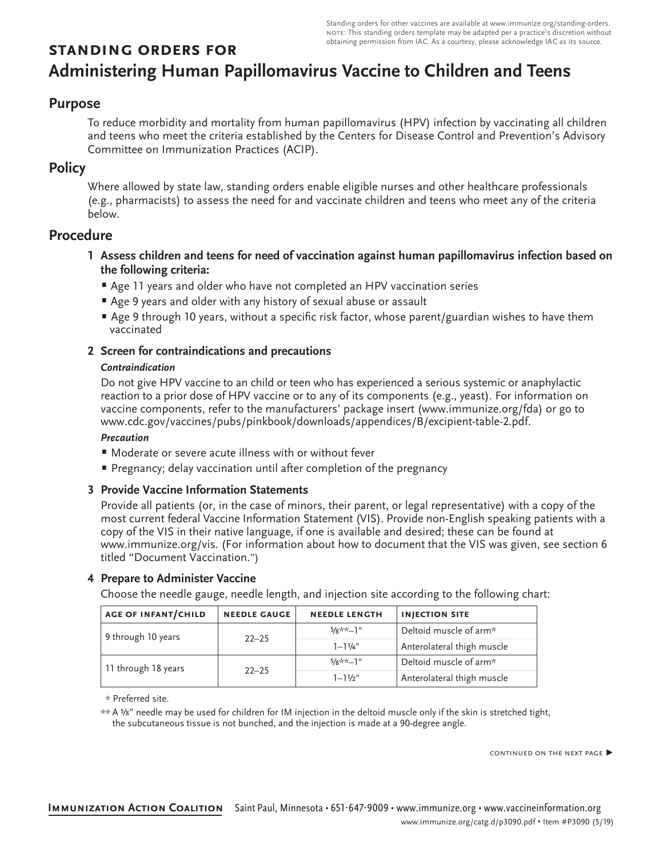Standing orders for other vaccines are available at [www.immunize.org/standing-orders](http://www.immunize.org/standing-orders). note: This standing orders template may be adapted per a practice's discretion without obtaining permission from IAC. As a courtesy, please acknowledge IAC as its source.

# **standing orders for Administering Human Papillomavirus Vaccine to Children and Teens**

# **Purpose**

To reduce morbidity and mortality from human papillomavirus (HPV) infection by vaccinating all children and teens who meet the criteria established by the Centers for Disease Control and Prevention's Advisory Committee on Immunization Practices (ACIP).

## **Policy**

Where allowed by state law, standing orders enable eligible nurses and other healthcare professionals (e.g., pharmacists) to assess the need for and vaccinate children and teens who meet any of the criteria below.

# **Procedure**

- **1 Assess children and teens for need of vaccination against human papillomavirus infection based on the following criteria:**
	- Age 11 years and older who have not completed an HPV vaccination series
	- Age 9 years and older with any history of sexual abuse or assault
	- Age 9 through 10 years, without a specific risk factor, whose parent/guardian wishes to have them vaccinated
- **2 Screen for contraindications and precautions**

## *Contraindication*

Do not give HPV vaccine to an child or teen who has experienced a serious systemic or anaphylactic reaction to a prior dose of HPV vaccine or to any of its components (e.g., yeast). For information on vaccine components, refer to the manufacturers' package insert ([www.immunize.org/](http://www.immunize.org/packageinserts)fda) or go to [www.cdc.gov/vaccines/pubs/pinkbook/downloads/appendices/B/excipient-table-2.pdf](http://www.cdc.gov/vaccines/pubs/pinkbook/downloads/appendices/B/excipient-table-2.pdf).

## *Precaution*

- Moderate or severe acute illness with or without fever
- Pregnancy; delay vaccination until after completion of the pregnancy

## **3 Provide Vaccine Information Statements**

Provide all patients (or, in the case of minors, their parent, or legal representative) with a copy of the most current federal Vaccine Information Statement (VIS). Provide non-English speaking patients with a copy of the VIS in their native language, if one is available and desired; these can be found at www.immunize.org/vis. (For information about how to document that the VIS was given, see section 6 titled "Document Vaccination.")

## **4 Prepare to Administer Vaccine**

Choose the needle gauge, needle length, and injection site according to the following chart:

| <b>AGE OF INFANT/CHILD</b> | <b>NEEDLE GAUGE</b> | <b>NEEDLE LENGTH</b> | <b>INJECTION SITE</b>      |
|----------------------------|---------------------|----------------------|----------------------------|
| 9 through 10 years         | $22 - 25$           | $5/8**-1"$           | Deltoid muscle of arm*     |
|                            |                     | $1 - 11/4$ "         | Anterolateral thigh muscle |
| 11 through 18 years        | $22 - 25$           | $5/8**-1"$           | Deltoid muscle of arm*     |
|                            |                     | $1 - 11/2$ "         | Anterolateral thigh muscle |

\* Preferred site.

\*\* A ⅝" needle may be used for children for IM injection in the deltoid muscle only if the skin is stretched tight, the subcutaneous tissue is not bunched, and the injection is made at a 90-degree angle.

continued on the next page ▶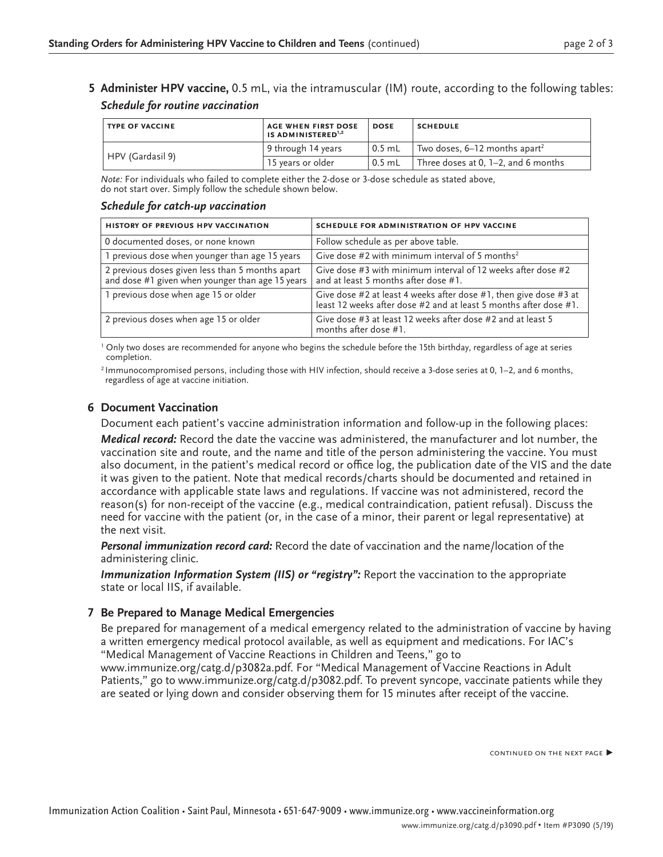**5 Administer HPV vaccine,** 0.5 mL, via the intramuscular (IM) route, according to the following tables: *Schedule for routine vaccination*

| <b>TYPE OF VACCINE</b> | <b>AGE WHEN FIRST DOSE</b><br>IS ADMINISTERED <sup>1,2</sup> | <b>DOSE</b>       | <b>SCHEDULE</b>                             |  |
|------------------------|--------------------------------------------------------------|-------------------|---------------------------------------------|--|
|                        | 9 through 14 years                                           | $0.5$ mL          | Two doses, $6-12$ months apart <sup>2</sup> |  |
| HPV (Gardasil 9)       | 15 years or older                                            | $^{\circ}$ 0.5 mL | Three doses at 0, $1-2$ , and 6 months      |  |

*Note:* For individuals who failed to complete either the 2-dose or 3-dose schedule as stated above, do not start over. Simply follow the schedule shown below.

#### *Schedule for catch-up vaccination*

| HISTORY OF PREVIOUS HPV VACCINATION                                                                 | SCHEDULE FOR ADMINISTRATION OF HPV VACCINE                                                                                             |  |
|-----------------------------------------------------------------------------------------------------|----------------------------------------------------------------------------------------------------------------------------------------|--|
| 0 documented doses, or none known                                                                   | Follow schedule as per above table.                                                                                                    |  |
| 1 previous dose when younger than age 15 years                                                      | Give dose #2 with minimum interval of 5 months <sup>2</sup>                                                                            |  |
| 2 previous doses given less than 5 months apart<br>and dose #1 given when younger than age 15 years | Give dose #3 with minimum interval of 12 weeks after dose #2<br>and at least 5 months after dose #1.                                   |  |
| 1 previous dose when age 15 or older                                                                | Give dose #2 at least 4 weeks after dose #1, then give dose #3 at<br>least 12 weeks after dose #2 and at least 5 months after dose #1. |  |
| 2 previous doses when age 15 or older                                                               | Give dose #3 at least 12 weeks after dose #2 and at least 5<br>months after dose #1.                                                   |  |

<sup>1</sup> Only two doses are recommended for anyone who begins the schedule before the 15th birthday, regardless of age at series completion.

2 Immunocompromised persons, including those with HIV infection, should receive a 3-dose series at 0, 1–2, and 6 months, regardless of age at vaccine initiation.

#### **6 Document Vaccination**

Document each patient's vaccine administration information and follow-up in the following places: *Medical record:* Record the date the vaccine was administered, the manufacturer and lot number, the vaccination site and route, and the name and title of the person administering the vaccine. You must also document, in the patient's medical record or office log, the publication date of the VIS and the date it was given to the patient. Note that medical records/charts should be documented and retained in accordance with applicable state laws and regulations. If vaccine was not administered, record the reason(s) for non-receipt of the vaccine (e.g., medical contraindication, patient refusal). Discuss the need for vaccine with the patient (or, in the case of a minor, their parent or legal representative) at the next visit.

*Personal immunization record card:* Record the date of vaccination and the name/location of the administering clinic.

*Immunization Information System (IIS) or "registry":* Report the vaccination to the appropriate state or local IIS, if available.

#### **7 Be Prepared to Manage Medical Emergencies**

Be prepared for management of a medical emergency related to the administration of vaccine by having a written emergency medical protocol available, as well as equipment and medications. For IAC's "Medical Management of Vaccine Reactions in Children and Teens," go to [www.immunize.org/catg.d/p](http://www.immunize.org/catg.d/p3082a.pdf)3082a.pdf. For "Medical Management of Vaccine Reactions in Adult Patients," go to [www.immunize.org/catg.d/p3082.pdf](http://www.immunize.org/catg.d/p3082.pdf). To prevent syncope, vaccinate patients while they are seated or lying down and consider observing them for 15 minutes after receipt of the vaccine.

continued on the next page ▶